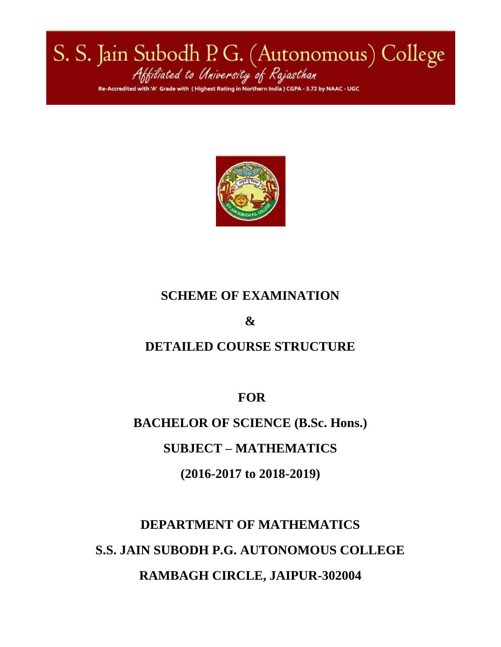S. S. Jain Subodh P. G. (Autonomous) College<br>Attiliated to University of Rajasthan hest Rating in Northern India ) CGPA 3.72 by NAAC - UGC



# **SCHEME OF EXAMINATION**

**&**

# **DETAILED COURSE STRUCTURE**

**FOR**

**BACHELOR OF SCIENCE (B.Sc. Hons.)**

**SUBJECT – MATHEMATICS**

**(2016-2017 to 2018-2019)**

**DEPARTMENT OF MATHEMATICS S.S. JAIN SUBODH P.G. AUTONOMOUS COLLEGE RAMBAGH CIRCLE, JAIPUR-302004**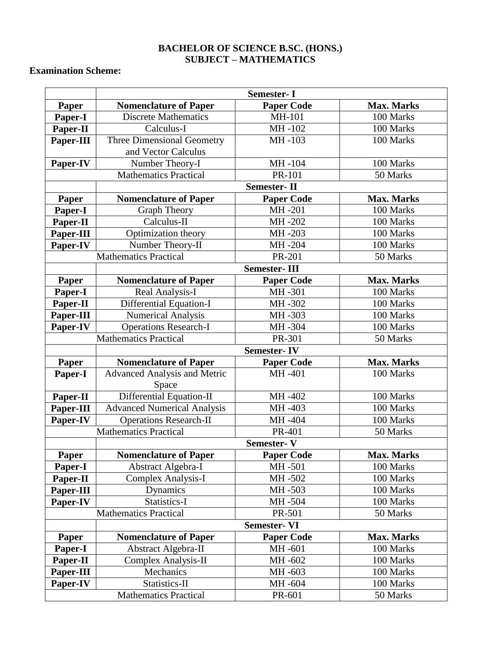# **BACHELOR OF SCIENCE B.SC. (HONS.) SUBJECT – MATHEMATICS**

# **Examination Scheme:**

|              | <b>Semester-I</b>                   |                     |                   |  |  |  |  |
|--------------|-------------------------------------|---------------------|-------------------|--|--|--|--|
| Paper        | <b>Nomenclature of Paper</b>        | <b>Paper Code</b>   | <b>Max. Marks</b> |  |  |  |  |
| Paper-I      | <b>Discrete Mathematics</b>         | MH-101              | 100 Marks         |  |  |  |  |
| Paper-II     | Calculus-I                          | MH-102              | 100 Marks         |  |  |  |  |
| Paper-III    | <b>Three Dimensional Geometry</b>   | MH-103              | 100 Marks         |  |  |  |  |
|              | and Vector Calculus                 |                     |                   |  |  |  |  |
| Paper-IV     | Number Theory-I                     | MH-104              | 100 Marks         |  |  |  |  |
|              | <b>Mathematics Practical</b>        | PR-101              | 50 Marks          |  |  |  |  |
|              |                                     | <b>Semester-II</b>  |                   |  |  |  |  |
| Paper        | <b>Nomenclature of Paper</b>        | <b>Paper Code</b>   | <b>Max. Marks</b> |  |  |  |  |
| Paper-I      | <b>Graph Theory</b>                 | MH-201              | 100 Marks         |  |  |  |  |
| Paper-II     | Calculus-II                         | MH-202              | 100 Marks         |  |  |  |  |
| Paper-III    | Optimization theory                 | MH-203              | 100 Marks         |  |  |  |  |
| Paper-IV     | Number Theory-II                    | MH-204              | 100 Marks         |  |  |  |  |
|              | <b>Mathematics Practical</b>        | PR-201              | 50 Marks          |  |  |  |  |
|              |                                     | <b>Semester-III</b> |                   |  |  |  |  |
| Paper        | <b>Nomenclature of Paper</b>        | <b>Paper Code</b>   | <b>Max. Marks</b> |  |  |  |  |
| Paper-I      | Real Analysis-I                     | MH-301              | 100 Marks         |  |  |  |  |
| Paper-II     | Differential Equation-I             | MH-302              | 100 Marks         |  |  |  |  |
| Paper-III    | Numerical Analysis                  | MH-303              | 100 Marks         |  |  |  |  |
| Paper-IV     | <b>Operations Research-I</b>        | MH-304              | 100 Marks         |  |  |  |  |
|              | <b>Mathematics Practical</b>        | PR-301              | 50 Marks          |  |  |  |  |
|              |                                     | <b>Semester-IV</b>  |                   |  |  |  |  |
| Paper        | <b>Nomenclature of Paper</b>        | <b>Paper Code</b>   | <b>Max. Marks</b> |  |  |  |  |
| Paper-I      | <b>Advanced Analysis and Metric</b> | MH-401              | 100 Marks         |  |  |  |  |
|              | Space                               |                     |                   |  |  |  |  |
| Paper-II     | Differential Equation-II            | MH-402              | 100 Marks         |  |  |  |  |
| Paper-III    | <b>Advanced Numerical Analysis</b>  | MH-403              | 100 Marks         |  |  |  |  |
| Paper-IV     | <b>Operations Research-II</b>       | MH-404              | 100 Marks         |  |  |  |  |
|              | <b>Mathematics Practical</b>        | PR-401              | 50 Marks          |  |  |  |  |
|              |                                     | <b>Semester-V</b>   |                   |  |  |  |  |
| <b>Paper</b> | Nomenclature of Paper               | Paper Code          | Max. Marks        |  |  |  |  |
| Paper-I      | Abstract Algebra-I                  | MH-501              | 100 Marks         |  |  |  |  |
| Paper-II     | Complex Analysis-I                  | MH-502              | 100 Marks         |  |  |  |  |
|              |                                     |                     |                   |  |  |  |  |
| Paper-III    | Dynamics                            | MH-503              | 100 Marks         |  |  |  |  |
| Paper-IV     | Statistics-I                        | MH-504              | 100 Marks         |  |  |  |  |
|              | <b>Mathematics Practical</b>        | PR-501              | 50 Marks          |  |  |  |  |
|              |                                     | <b>Semester-VI</b>  |                   |  |  |  |  |
| Paper        | <b>Nomenclature of Paper</b>        | <b>Paper Code</b>   | <b>Max. Marks</b> |  |  |  |  |
| Paper-I      | Abstract Algebra-II                 | MH-601              | 100 Marks         |  |  |  |  |
| Paper-II     | <b>Complex Analysis-II</b>          | MH-602              | 100 Marks         |  |  |  |  |
| Paper-III    | Mechanics                           | MH-603              | 100 Marks         |  |  |  |  |
| Paper-IV     | Statistics-II                       | MH-604              | 100 Marks         |  |  |  |  |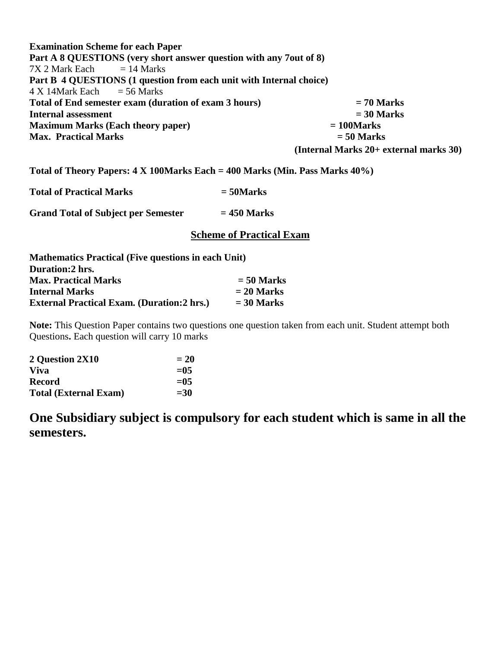**Examination Scheme for each Paper Part A 8 QUESTIONS (very short answer question with any 7out of 8)**  $7X$  2 Mark Each  $= 14$  Marks **Part B 4 QUESTIONS (1 question from each unit with Internal choice)**   $4 \text{ X}$  14Mark Each  $= 56 \text{ Marks}$ **Total of End semester exam (duration of exam 3 hours) = 70 Marks Internal assessment = 30 Marks Maximum Marks (Each theory paper) = 100Marks Max. Practical Marks = 50 Marks (Internal Marks 20+ external marks 30)**

**Total of Theory Papers: 4 X 100Marks Each = 400 Marks (Min. Pass Marks 40%)**

**Total of Practical Marks = 50Marks**

**Grand Total of Subject per Semester = 450 Marks**

### **Scheme of Practical Exam**

| <b>Mathematics Practical (Five questions in each Unit)</b> |              |  |  |  |  |  |
|------------------------------------------------------------|--------------|--|--|--|--|--|
| Duration: 2 hrs.                                           |              |  |  |  |  |  |
| <b>Max. Practical Marks</b>                                | $= 50$ Marks |  |  |  |  |  |
| <b>Internal Marks</b>                                      | $= 20$ Marks |  |  |  |  |  |
| <b>External Practical Exam. (Duration:2 hrs.)</b>          | $=$ 30 Marks |  |  |  |  |  |

**Note:** This Question Paper contains two questions one question taken from each unit. Student attempt both Questions**.** Each question will carry 10 marks

| 2 Question 2X10              | $= 20$  |
|------------------------------|---------|
| <b>Viva</b>                  | $= 0.5$ |
| <b>Record</b>                | $= 0.5$ |
| <b>Total (External Exam)</b> | $= 30$  |

**One Subsidiary subject is compulsory for each student which is same in all the semesters.**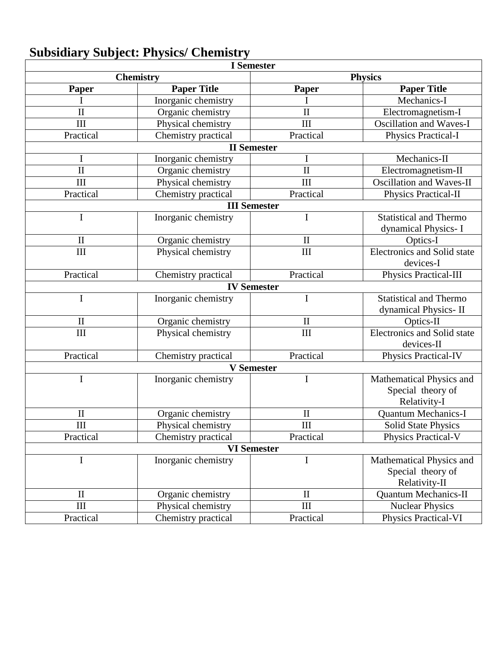| <b>I</b> Semester   |                     |                     |                                    |  |  |  |  |  |
|---------------------|---------------------|---------------------|------------------------------------|--|--|--|--|--|
|                     | <b>Chemistry</b>    |                     | <b>Physics</b>                     |  |  |  |  |  |
| Paper               | <b>Paper Title</b>  | <b>Paper</b>        | <b>Paper Title</b>                 |  |  |  |  |  |
|                     | Inorganic chemistry |                     | Mechanics-I                        |  |  |  |  |  |
| $\mathbf{I}$        | Organic chemistry   | $\mathbf{I}$        | Electromagnetism-I                 |  |  |  |  |  |
| III                 | Physical chemistry  | III                 | <b>Oscillation and Waves-I</b>     |  |  |  |  |  |
| Practical           | Chemistry practical | Practical           | Physics Practical-I                |  |  |  |  |  |
|                     |                     | <b>II</b> Semester  |                                    |  |  |  |  |  |
| I                   | Inorganic chemistry | I                   | Mechanics-II                       |  |  |  |  |  |
| $\overline{\rm II}$ | Organic chemistry   | $\mathbf{I}$        | Electromagnetism-II                |  |  |  |  |  |
| III                 | Physical chemistry  | III                 | <b>Oscillation and Waves-II</b>    |  |  |  |  |  |
| Practical           | Chemistry practical | Practical           | Physics Practical-II               |  |  |  |  |  |
|                     |                     | <b>III</b> Semester |                                    |  |  |  |  |  |
| I                   | Inorganic chemistry | I                   | <b>Statistical and Thermo</b>      |  |  |  |  |  |
|                     |                     |                     | dynamical Physics-I                |  |  |  |  |  |
| $\mathbf{I}$        | Organic chemistry   | $\mathbf{I}$        | Optics-I                           |  |  |  |  |  |
| III                 | Physical chemistry  | III                 | Electronics and Solid state        |  |  |  |  |  |
|                     |                     |                     | devices-I                          |  |  |  |  |  |
| Practical           | Chemistry practical | Practical           | Physics Practical-III              |  |  |  |  |  |
|                     |                     | <b>IV Semester</b>  |                                    |  |  |  |  |  |
| I                   | Inorganic chemistry | I                   | <b>Statistical and Thermo</b>      |  |  |  |  |  |
|                     |                     |                     | dynamical Physics-II               |  |  |  |  |  |
| $\mathbf{I}$        | Organic chemistry   | $\mathbf{I}$        | Optics-II                          |  |  |  |  |  |
| III                 | Physical chemistry  | III                 | <b>Electronics and Solid state</b> |  |  |  |  |  |
|                     |                     |                     | devices-II                         |  |  |  |  |  |
| Practical           | Chemistry practical | Practical           | <b>Physics Practical-IV</b>        |  |  |  |  |  |
|                     |                     | <b>V</b> Semester   |                                    |  |  |  |  |  |
| I                   | Inorganic chemistry | I                   | Mathematical Physics and           |  |  |  |  |  |
|                     |                     |                     | Special theory of                  |  |  |  |  |  |
|                     |                     |                     | Relativity-I                       |  |  |  |  |  |
| $\mathbf{I}$        | Organic chemistry   | $\mathbf{I}$        | <b>Quantum Mechanics-I</b>         |  |  |  |  |  |
| $\rm III$           | Physical chemistry  | $\rm III$           | <b>Solid State Physics</b>         |  |  |  |  |  |
| Practical           | Chemistry practical | Practical           | <b>Physics Practical-V</b>         |  |  |  |  |  |
|                     |                     | <b>VI</b> Semester  |                                    |  |  |  |  |  |
| I                   | Inorganic chemistry | I                   | Mathematical Physics and           |  |  |  |  |  |
|                     |                     |                     | Special theory of                  |  |  |  |  |  |
|                     |                     |                     | Relativity-II                      |  |  |  |  |  |
| $\mathbf{I}$        | Organic chemistry   | $\mathbf{I}$        | <b>Quantum Mechanics-II</b>        |  |  |  |  |  |
| III                 | Physical chemistry  | III                 | <b>Nuclear Physics</b>             |  |  |  |  |  |
| Practical           | Chemistry practical | Practical           | Physics Practical-VI               |  |  |  |  |  |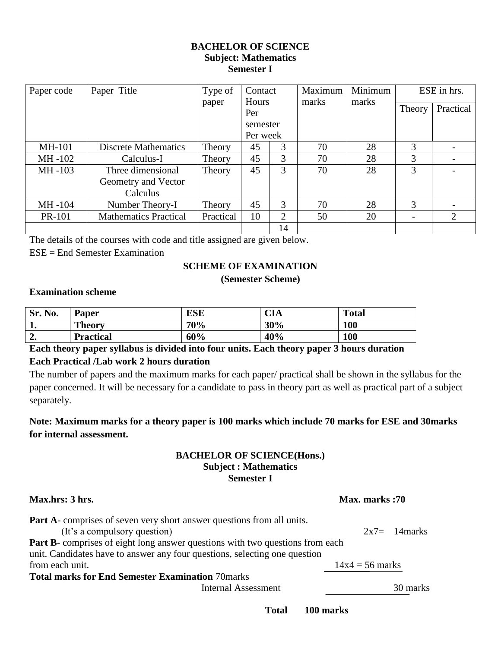### **BACHELOR OF SCIENCE Subject: Mathematics Semester I**

| Paper code    | Paper Title                  | Type of   | Contact      |               | Maximum | Minimum | ESE in hrs. |                             |
|---------------|------------------------------|-----------|--------------|---------------|---------|---------|-------------|-----------------------------|
|               |                              | paper     | Hours<br>Per |               | marks   | marks   | Theory      | Practical                   |
|               |                              |           | semester     |               |         |         |             |                             |
|               |                              |           | Per week     |               |         |         |             |                             |
| <b>MH-101</b> | <b>Discrete Mathematics</b>  | Theory    | 45           | 3             | 70      | 28      | 3           |                             |
| MH-102        | Calculus-I                   | Theory    | 45           | 3             | 70      | 28      | 3           |                             |
| MH-103        | Three dimensional            | Theory    | 45           | 3             | 70      | 28      | 3           |                             |
|               | Geometry and Vector          |           |              |               |         |         |             |                             |
|               | Calculus                     |           |              |               |         |         |             |                             |
| MH-104        | Number Theory-I              | Theory    | 45           | $\mathcal{R}$ | 70      | 28      | 3           |                             |
| <b>PR-101</b> | <b>Mathematics Practical</b> | Practical | 10           | 2             | 50      | 20      |             | $\mathcal{D}_{\mathcal{L}}$ |
|               |                              |           |              | 14            |         |         |             |                             |

The details of the courses with code and title assigned are given below.

ESE = End Semester Examination

### **SCHEME OF EXAMINATION**

### **(Semester Scheme)**

### **Examination scheme**

| Sr. No.     | <b>Paper</b>     | ESE | CIA | <b>Total</b> |
|-------------|------------------|-----|-----|--------------|
| . .         | <b>Theory</b>    | 70% | 30% | 100          |
| $\sim$<br>" | <b>Practical</b> | 60% | 40% | 100          |

**Each theory paper syllabus is divided into four units. Each theory paper 3 hours duration Each Practical /Lab work 2 hours duration**

The number of papers and the maximum marks for each paper/ practical shall be shown in the syllabus for the paper concerned. It will be necessary for a candidate to pass in theory part as well as practical part of a subject separately.

# **Note: Maximum marks for a theory paper is 100 marks which include 70 marks for ESE and 30marks for internal assessment.**

### **BACHELOR OF SCIENCE(Hons.) Subject : Mathematics Semester I**

| Max.hrs: 3 hrs.                                                                                                                                                    | Max. marks:70     |  |  |  |
|--------------------------------------------------------------------------------------------------------------------------------------------------------------------|-------------------|--|--|--|
| <b>Part A</b> -comprises of seven very short answer questions from all units.<br>(It's a compulsory question)                                                      | $2x7 = 14$ marks  |  |  |  |
| <b>Part B-</b> comprises of eight long answer questions with two questions from each<br>unit. Candidates have to answer any four questions, selecting one question |                   |  |  |  |
| from each unit.                                                                                                                                                    | $14x4 = 56$ marks |  |  |  |
| <b>Total marks for End Semester Examination 70marks</b>                                                                                                            |                   |  |  |  |
| <b>Internal Assessment</b>                                                                                                                                         | 30 marks          |  |  |  |

**Total 100 marks**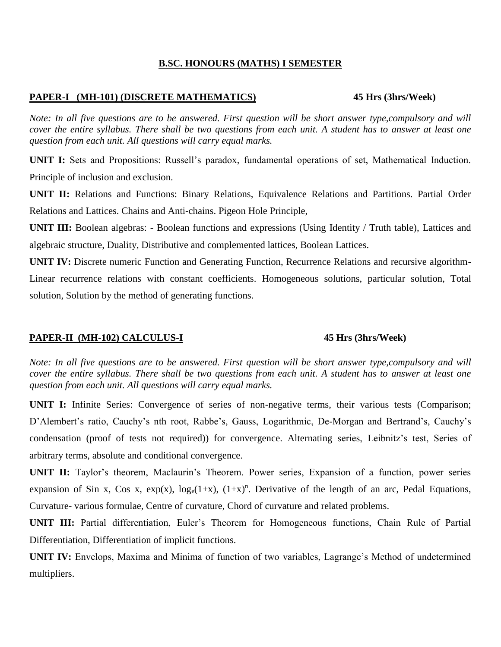### **B.SC. HONOURS (MATHS) I SEMESTER**

### **PAPER-I (MH-101) (DISCRETE MATHEMATICS) 45 Hrs (3hrs/Week)**

*Note: In all five questions are to be answered. First question will be short answer type, compulsory and will cover the entire syllabus. There shall be two questions from each unit. A student has to answer at least one question from each unit. All questions will carry equal marks.*

**UNIT I:** Sets and Propositions: Russell's paradox, fundamental operations of set, Mathematical Induction. Principle of inclusion and exclusion.

**UNIT II:** Relations and Functions: Binary Relations, Equivalence Relations and Partitions. Partial Order Relations and Lattices. Chains and Anti-chains. Pigeon Hole Principle,

**UNIT III:** Boolean algebras: - Boolean functions and expressions (Using Identity / Truth table), Lattices and algebraic structure, Duality, Distributive and complemented lattices, Boolean Lattices.

**UNIT IV:** Discrete numeric Function and Generating Function, Recurrence Relations and recursive algorithm-Linear recurrence relations with constant coefficients. Homogeneous solutions, particular solution, Total solution, Solution by the method of generating functions.

### **PAPER-II (MH-102) CALCULUS-I 45 Hrs (3hrs/Week)**

*Note: In all five questions are to be answered. First question will be short answer type, compulsory and will cover the entire syllabus. There shall be two questions from each unit. A student has to answer at least one question from each unit. All questions will carry equal marks.*

**UNIT I:** Infinite Series: Convergence of series of non-negative terms, their various tests (Comparison; D'Alembert's ratio, Cauchy's nth root, Rabbe's, Gauss, Logarithmic, De-Morgan and Bertrand's, Cauchy's condensation (proof of tests not required)) for convergence. Alternating series, Leibnitz's test, Series of arbitrary terms, absolute and conditional convergence.

**UNIT II:** Taylor's theorem, Maclaurin's Theorem. Power series, Expansion of a function, power series expansion of Sin x, Cos x,  $exp(x)$ ,  $log_e(1+x)$ ,  $(1+x)^n$ . Derivative of the length of an arc, Pedal Equations, Curvature- various formulae, Centre of curvature, Chord of curvature and related problems.

**UNIT III:** Partial differentiation, Euler's Theorem for Homogeneous functions, Chain Rule of Partial Differentiation, Differentiation of implicit functions.

**UNIT IV:** Envelops, Maxima and Minima of function of two variables, Lagrange's Method of undetermined multipliers.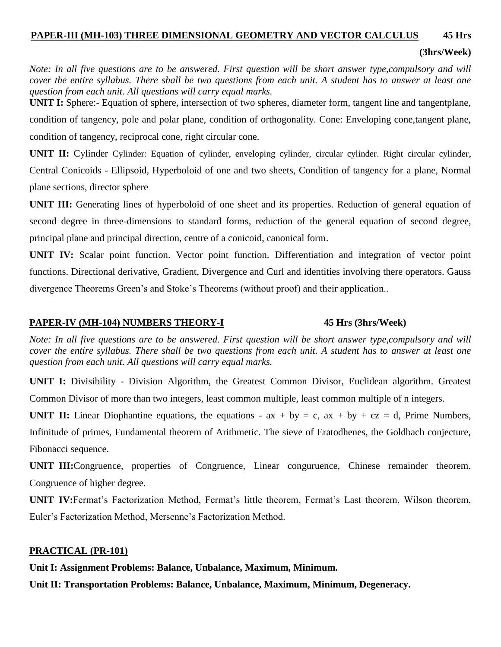# **PAPER-III (MH-103) THREE DIMENSIONAL GEOMETRY AND VECTOR CALCULUS 45 Hrs**

# **(3hrs/Week)**

*Note: In all five questions are to be answered. First question will be short answer type, compulsory and will cover the entire syllabus. There shall be two questions from each unit. A student has to answer at least one question from each unit. All questions will carry equal marks.*

**UNIT I:** Sphere:- Equation of sphere, intersection of two spheres, diameter form, tangent line and tangentplane, condition of tangency, pole and polar plane, condition of orthogonality. Cone: Enveloping cone,tangent plane, condition of tangency, reciprocal cone, right circular cone.

**UNIT II:** Cylinder Cylinder: Equation of cylinder, enveloping cylinder, circular cylinder. Right circular cylinder, Central Conicoids - Ellipsoid, Hyperboloid of one and two sheets, Condition of tangency for a plane, Normal plane sections, director sphere

**UNIT III:** Generating lines of hyperboloid of one sheet and its properties. Reduction of general equation of second degree in three-dimensions to standard forms, reduction of the general equation of second degree, principal plane and principal direction, centre of a conicoid, canonical form.

**UNIT IV:** Scalar point function. Vector point function. Differentiation and integration of vector point functions. Directional derivative, Gradient, Divergence and Curl and identities involving there operators. Gauss divergence Theorems Green's and Stoke's Theorems (without proof) and their application..

### **PAPER-IV (MH-104) NUMBERS THEORY-I 45 Hrs (3hrs/Week)**

*Note: In all five questions are to be answered. First question will be short answer type, compulsory and will cover the entire syllabus. There shall be two questions from each unit. A student has to answer at least one question from each unit. All questions will carry equal marks.*

**UNIT I:** Divisibility - Division Algorithm, the Greatest Common Divisor, Euclidean algorithm. Greatest Common Divisor of more than two integers, least common multiple, least common multiple of n integers.

**UNIT II:** Linear Diophantine equations, the equations -  $ax + by = c$ ,  $ax + by + cz = d$ , Prime Numbers, Infinitude of primes, Fundamental theorem of Arithmetic. The sieve of Eratodhenes, the Goldbach conjecture, Fibonacci sequence.

**UNIT III:**Congruence, properties of Congruence, Linear conguruence, Chinese remainder theorem. Congruence of higher degree.

**UNIT IV:**Fermat's Factorization Method, Fermat's little theorem, Fermat's Last theorem, Wilson theorem, Euler's Factorization Method, Mersenne's Factorization Method.

### **PRACTICAL (PR-101)**

**Unit I: Assignment Problems: Balance, Unbalance, Maximum, Minimum.**

**Unit II: Transportation Problems: Balance, Unbalance, Maximum, Minimum, Degeneracy.**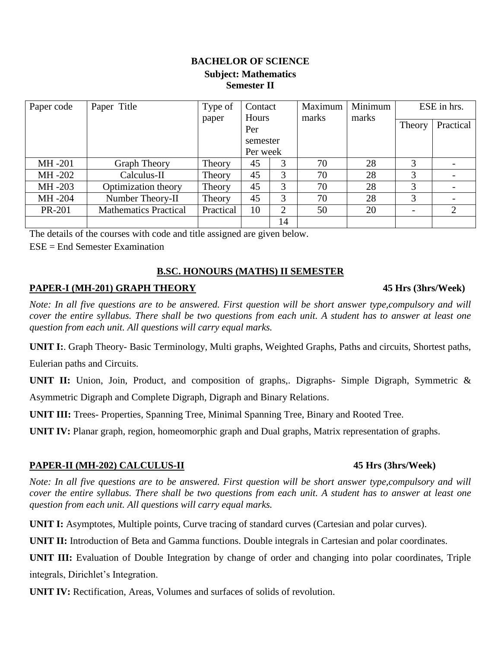# **BACHELOR OF SCIENCE Subject: Mathematics Semester II**

| Paper code | Paper Title                  | Type of   | Contact  |    | Maximum | Minimum |        | ESE in hrs. |
|------------|------------------------------|-----------|----------|----|---------|---------|--------|-------------|
|            |                              | paper     | Hours    |    | marks   | marks   | Theory | Practical   |
|            |                              |           | Per      |    |         |         |        |             |
|            |                              |           | semester |    |         |         |        |             |
|            |                              |           | Per week |    |         |         |        |             |
| MH -201    | <b>Graph Theory</b>          | Theory    | 45       | 3  | 70      | 28      | 3      |             |
| MH-202     | Calculus-II                  | Theory    | 45       | 3  | 70      | 28      | 3      |             |
| MH -203    | Optimization theory          | Theory    | 45       | 3  | 70      | 28      | 3      |             |
| MH-204     | Number Theory-II             | Theory    | 45       | 3  | 70      | 28      | 3      |             |
| PR-201     | <b>Mathematics Practical</b> | Practical | 10       | ↑  | 50      | 20      |        | 2           |
|            |                              |           |          | 14 |         |         |        |             |

The details of the courses with code and title assigned are given below.

 $ESE = End$  Semester Examination

# **B.SC. HONOURS (MATHS) II SEMESTER**

# **PAPER-I (MH-201) GRAPH THEORY 45 Hrs (3hrs/Week)**

*Note: In all five questions are to be answered. First question will be short answer type, compulsory and will cover the entire syllabus. There shall be two questions from each unit. A student has to answer at least one question from each unit. All questions will carry equal marks.*

**UNIT I:**. Graph Theory- Basic Terminology, Multi graphs, Weighted Graphs, Paths and circuits, Shortest paths,

Eulerian paths and Circuits.

**UNIT II:** Union, Join, Product, and composition of graphs,. Digraphs- Simple Digraph, Symmetric & Asymmetric Digraph and Complete Digraph, Digraph and Binary Relations.

**UNIT III:** Trees- Properties, Spanning Tree, Minimal Spanning Tree, Binary and Rooted Tree.

**UNIT IV:** Planar graph, region, homeomorphic graph and Dual graphs, Matrix representation of graphs.

# **PAPER-II (MH-202) CALCULUS-II 45 Hrs (3hrs/Week)**

*Note: In all five questions are to be answered. First question will be short answer type, compulsory and will cover the entire syllabus. There shall be two questions from each unit. A student has to answer at least one question from each unit. All questions will carry equal marks.*

**UNIT I:** Asymptotes, Multiple points, Curve tracing of standard curves (Cartesian and polar curves).

**UNIT II:** Introduction of Beta and Gamma functions. Double integrals in Cartesian and polar coordinates.

**UNIT III:** Evaluation of Double Integration by change of order and changing into polar coordinates, Triple integrals, Dirichlet's Integration.

**UNIT IV:** Rectification, Areas, Volumes and surfaces of solids of revolution.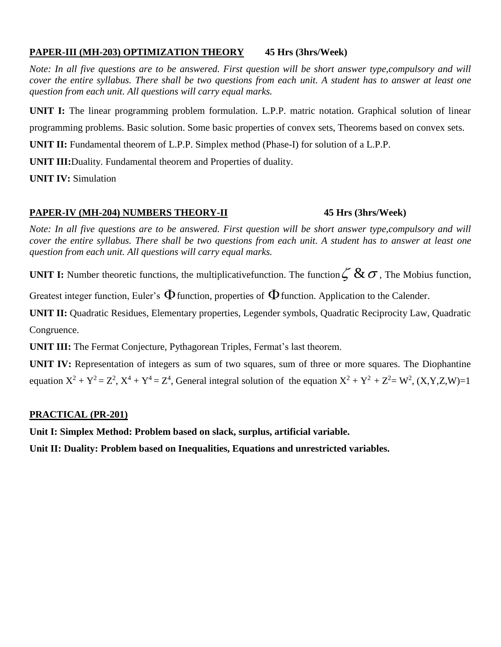# **PAPER-III (MH-203) OPTIMIZATION THEORY 45 Hrs (3hrs/Week)**

*Note: In all five questions are to be answered. First question will be short answer type, compulsory and will cover the entire syllabus. There shall be two questions from each unit. A student has to answer at least one question from each unit. All questions will carry equal marks.*

**UNIT I:** The linear programming problem formulation. L.P.P. matric notation. Graphical solution of linear

programming problems. Basic solution. Some basic properties of convex sets, Theorems based on convex sets.

**UNIT II:** Fundamental theorem of L.P.P. Simplex method (Phase-I) for solution of a L.P.P.

**UNIT III:**Duality. Fundamental theorem and Properties of duality.

**UNIT IV:** Simulation

# **PAPER-IV (MH-204) NUMBERS THEORY-II 45 Hrs (3hrs/Week)**

*Note: In all five questions are to be answered. First question will be short answer type, compulsory and will cover the entire syllabus. There shall be two questions from each unit. A student has to answer at least one question from each unit. All questions will carry equal marks.*

**UNIT I:** Number theoretic functions, the multiplicativefunction. The function  $\zeta \& \sigma$ , The Mobius function,

Greatest integer function, Euler's  $\Phi$  function, properties of  $\Phi$  function. Application to the Calender.

**UNIT II:** Quadratic Residues, Elementary properties, Legender symbols, Quadratic Reciprocity Law, Quadratic Congruence.

**UNIT III:** The Fermat Conjecture, Pythagorean Triples, Fermat's last theorem.

**UNIT IV:** Representation of integers as sum of two squares, sum of three or more squares. The Diophantine equation  $X^2 + Y^2 = Z^2$ ,  $X^4 + Y^4 = Z^4$ , General integral solution of the equation  $X^2 + Y^2 + Z^2 = W^2$ ,  $(X, Y, Z, W) = 1$ 

# **PRACTICAL (PR-201)**

**Unit I: Simplex Method: Problem based on slack, surplus, artificial variable.**

**Unit II: Duality: Problem based on Inequalities, Equations and unrestricted variables.**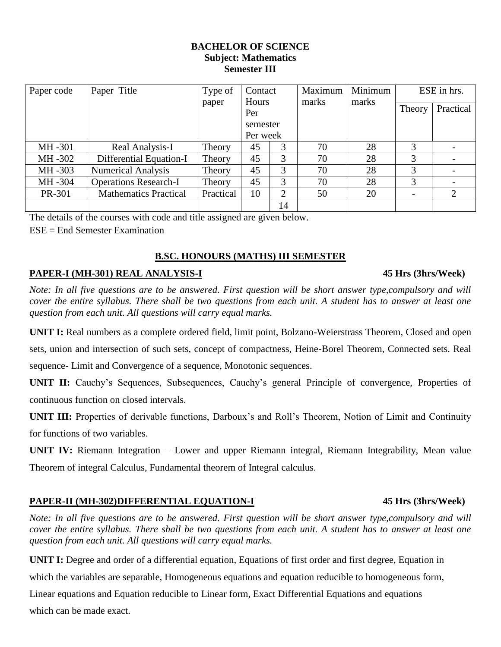### **BACHELOR OF SCIENCE Subject: Mathematics Semester III**

| Paper code | Paper Title                  | Type of   | Contact      |                | Maximum | Minimum | ESE in hrs.              |           |
|------------|------------------------------|-----------|--------------|----------------|---------|---------|--------------------------|-----------|
|            |                              | paper     | Hours<br>Per |                | marks   | marks   | Theory                   | Practical |
|            |                              |           | semester     |                |         |         |                          |           |
|            |                              |           | Per week     |                |         |         |                          |           |
| MH -301    | Real Analysis-I              | Theory    | 45           | 3              | 70      | 28      | 3                        |           |
| MH -302    | Differential Equation-I      | Theory    | 45           | 3              | 70      | 28      | 3                        |           |
| MH -303    | <b>Numerical Analysis</b>    | Theory    | 45           | 3              | 70      | 28      | 3                        |           |
| MH -304    | <b>Operations Research-I</b> | Theory    | 45           | 3              | 70      | 28      | 3                        |           |
| PR-301     | <b>Mathematics Practical</b> | Practical | 10           | $\overline{2}$ | 50      | 20      | $\overline{\phantom{a}}$ | 2         |
|            |                              |           |              | 14             |         |         |                          |           |

The details of the courses with code and title assigned are given below.

ESE = End Semester Examination

### **B.SC. HONOURS (MATHS) III SEMESTER**

# **PAPER-I (MH-301) REAL ANALYSIS-I 45 Hrs (3hrs/Week)**

*Note: In all five questions are to be answered. First question will be short answer type, compulsory and will cover the entire syllabus. There shall be two questions from each unit. A student has to answer at least one question from each unit. All questions will carry equal marks.*

**UNIT I:** Real numbers as a complete ordered field, limit point, Bolzano-Weierstrass Theorem, Closed and open

sets, union and intersection of such sets, concept of compactness, Heine-Borel Theorem, Connected sets. Real

sequence- Limit and Convergence of a sequence, Monotonic sequences.

**UNIT II:** Cauchy's Sequences, Subsequences, Cauchy's general Principle of convergence, Properties of continuous function on closed intervals.

**UNIT III:** Properties of derivable functions, Darboux's and Roll's Theorem, Notion of Limit and Continuity for functions of two variables.

**UNIT IV:** Riemann Integration – Lower and upper Riemann integral, Riemann Integrability, Mean value Theorem of integral Calculus, Fundamental theorem of Integral calculus.

# **PAPER-II (MH-302)DIFFERENTIAL EQUATION-I 45 Hrs (3hrs/Week)**

*Note: In all five questions are to be answered. First question will be short answer type,compulsory and will cover the entire syllabus. There shall be two questions from each unit. A student has to answer at least one question from each unit. All questions will carry equal marks.*

**UNIT I:** Degree and order of a differential equation, Equations of first order and first degree, Equation in

which the variables are separable, Homogeneous equations and equation reducible to homogeneous form,

Linear equations and Equation reducible to Linear form, Exact Differential Equations and equations which can be made exact.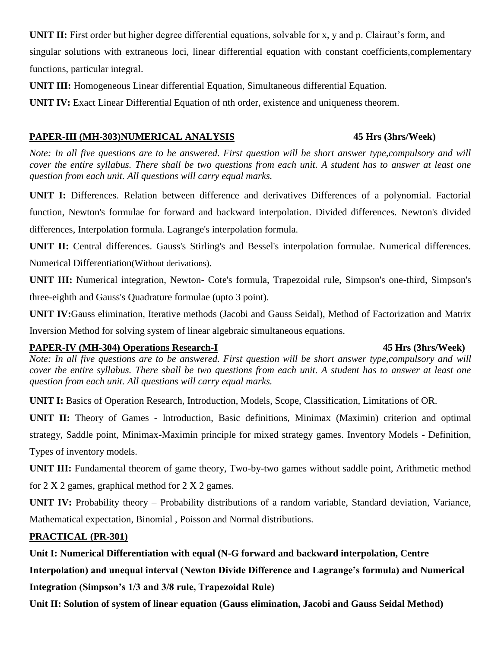**UNIT II:** First order but higher degree differential equations, solvable for x, y and p. Clairaut's form, and singular solutions with extraneous loci, linear differential equation with constant coefficients,complementary functions, particular integral.

**UNIT III:** Homogeneous Linear differential Equation, Simultaneous differential Equation.

**UNIT IV:** Exact Linear Differential Equation of nth order, existence and uniqueness theorem.

# **PAPER-III (MH-303)NUMERICAL ANALYSIS 45 Hrs (3hrs/Week)**

*Note: In all five questions are to be answered. First question will be short answer type, compulsory and will cover the entire syllabus. There shall be two questions from each unit. A student has to answer at least one question from each unit. All questions will carry equal marks.*

**UNIT I:** Differences. Relation between difference and derivatives Differences of a polynomial. Factorial

function, Newton's formulae for forward and backward interpolation. Divided differences. Newton's divided

differences, Interpolation formula. Lagrange's interpolation formula.

**UNIT II:** Central differences. Gauss's Stirling's and Bessel's interpolation formulae. Numerical differences. Numerical Differentiation(Without derivations).

**UNIT III:** Numerical integration, Newton- Cote's formula, Trapezoidal rule, Simpson's one-third, Simpson's three-eighth and Gauss's Quadrature formulae (upto 3 point).

**UNIT IV:**Gauss elimination, Iterative methods (Jacobi and Gauss Seidal), Method of Factorization and Matrix Inversion Method for solving system of linear algebraic simultaneous equations.

# **PAPER-IV (MH-304) Operations Research-I 45 Hrs (3hrs/Week)**

*Note: In all five questions are to be answered. First question will be short answer type, compulsory and will cover the entire syllabus. There shall be two questions from each unit. A student has to answer at least one question from each unit. All questions will carry equal marks.*

**UNIT I:** Basics of Operation Research, Introduction, Models, Scope, Classification, Limitations of OR.

**UNIT II:** Theory of Games - Introduction, Basic definitions, Minimax (Maximin) criterion and optimal strategy, Saddle point, Minimax-Maximin principle for mixed strategy games. Inventory Models - Definition,

Types of inventory models.

**UNIT III:** Fundamental theorem of game theory, Two-by-two games without saddle point, Arithmetic method for 2 X 2 games, graphical method for 2 X 2 games.

**UNIT IV:** Probability theory – Probability distributions of a random variable, Standard deviation, Variance, Mathematical expectation, Binomial , Poisson and Normal distributions.

# **PRACTICAL (PR-301)**

**Unit I: Numerical Differentiation with equal (N-G forward and backward interpolation, Centre** 

**Interpolation) and unequal interval (Newton Divide Difference and Lagrange's formula) and Numerical** 

**Integration (Simpson's 1/3 and 3/8 rule, Trapezoidal Rule)** 

**Unit II: Solution of system of linear equation (Gauss elimination, Jacobi and Gauss Seidal Method)**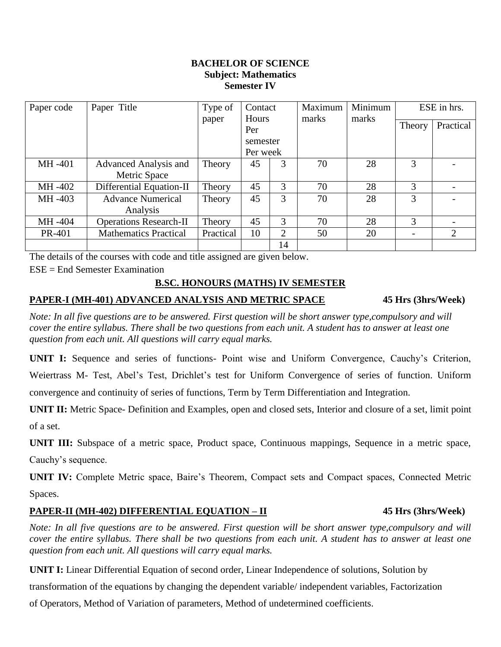### **BACHELOR OF SCIENCE Subject: Mathematics Semester IV**

| Paper code | Paper Title                   | Type of   | Contact  |    | Maximum<br>Hours<br>marks |       | Minimum<br>ESE in hrs.   |           |
|------------|-------------------------------|-----------|----------|----|---------------------------|-------|--------------------------|-----------|
|            |                               | paper     | Per      |    |                           | marks | Theory                   | Practical |
|            |                               |           | semester |    |                           |       |                          |           |
|            |                               |           | Per week |    |                           |       |                          |           |
| MH -401    | Advanced Analysis and         | Theory    | 45       | 3  | 70                        | 28    | 3                        |           |
|            | Metric Space                  |           |          |    |                           |       |                          |           |
| MH -402    | Differential Equation-II      | Theory    | 45       | 3  | 70                        | 28    | 3                        |           |
| MH -403    | <b>Advance Numerical</b>      | Theory    | 45       | 3  | 70                        | 28    | 3                        |           |
|            | Analysis                      |           |          |    |                           |       |                          |           |
| MH -404    | <b>Operations Research-II</b> | Theory    | 45       | 3  | 70                        | 28    | 3                        |           |
| PR-401     | <b>Mathematics Practical</b>  | Practical | 10       | 2  | 50                        | 20    | $\overline{\phantom{a}}$ | 2         |
|            |                               |           |          | 14 |                           |       |                          |           |

The details of the courses with code and title assigned are given below.

ESE = End Semester Examination

### **B.SC. HONOURS (MATHS) IV SEMESTER**

### **PAPER-I (MH-401) ADVANCED ANALYSIS AND METRIC SPACE 45 Hrs (3hrs/Week)**

*Note: In all five questions are to be answered. First question will be short answer type, compulsory and will cover the entire syllabus. There shall be two questions from each unit. A student has to answer at least one question from each unit. All questions will carry equal marks.*

**UNIT I:** Sequence and series of functions- Point wise and Uniform Convergence, Cauchy's Criterion, Weiertrass M- Test, Abel's Test, Drichlet's test for Uniform Convergence of series of function. Uniform

convergence and continuity of series of functions, Term by Term Differentiation and Integration.

**UNIT II:** Metric Space- Definition and Examples, open and closed sets, Interior and closure of a set, limit point of a set.

**UNIT III:** Subspace of a metric space, Product space, Continuous mappings, Sequence in a metric space, Cauchy's sequence.

**UNIT IV:** Complete Metric space, Baire's Theorem, Compact sets and Compact spaces, Connected Metric Spaces.

# **PAPER-II (MH-402) DIFFERENTIAL EQUATION – II 45 Hrs (3hrs/Week)**

*Note: In all five questions are to be answered. First question will be short answer type, compulsory and will cover the entire syllabus. There shall be two questions from each unit. A student has to answer at least one question from each unit. All questions will carry equal marks.*

**UNIT I:** Linear Differential Equation of second order, Linear Independence of solutions, Solution by

transformation of the equations by changing the dependent variable/ independent variables, Factorization

of Operators, Method of Variation of parameters, Method of undetermined coefficients.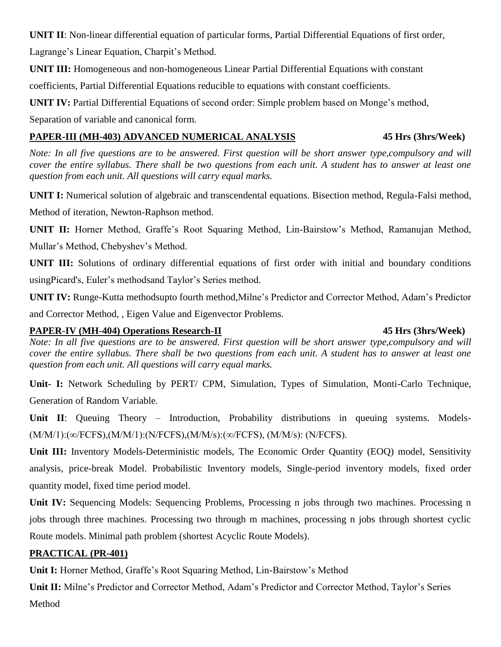**UNIT II**: Non-linear differential equation of particular forms, Partial Differential Equations of first order, Lagrange's Linear Equation, Charpit's Method.

**UNIT III:** Homogeneous and non-homogeneous Linear Partial Differential Equations with constant

coefficients, Partial Differential Equations reducible to equations with constant coefficients.

**UNIT IV:** Partial Differential Equations of second order: Simple problem based on Monge's method,

Separation of variable and canonical form.

# **PAPER-III (MH-403) ADVANCED NUMERICAL ANALYSIS 45 Hrs (3hrs/Week)**

*Note: In all five questions are to be answered. First question will be short answer type, compulsory and will cover the entire syllabus. There shall be two questions from each unit. A student has to answer at least one question from each unit. All questions will carry equal marks.*

**UNIT I:** Numerical solution of algebraic and transcendental equations. Bisection method, Regula-Falsi method,

Method of iteration, Newton-Raphson method.

**UNIT II:** Horner Method, Graffe's Root Squaring Method, Lin-Bairstow's Method, Ramanujan Method, Mullar's Method, Chebyshev's Method.

**UNIT III:** Solutions of ordinary differential equations of first order with initial and boundary conditions usingPicard's, Euler's methodsand Taylor's Series method.

**UNIT IV:** Runge-Kutta methodsupto fourth method,Milne's Predictor and Corrector Method, Adam's Predictor

and Corrector Method, , Eigen Value and Eigenvector Problems.

# **PAPER-IV (MH-404) Operations Research-II 45 Hrs (3hrs/Week)**

*Note: In all five questions are to be answered. First question will be short answer type, compulsory and will cover the entire syllabus. There shall be two questions from each unit. A student has to answer at least one question from each unit. All questions will carry equal marks.*

**Unit- I:** Network Scheduling by PERT/ CPM, Simulation, Types of Simulation, Monti-Carlo Technique, Generation of Random Variable.

Unit II: Queuing Theory – Introduction, Probability distributions in queuing systems. Models-(M/M/1):(∞/FCFS),(M/M/1):(N/FCFS),(M/M/s):(∞/FCFS), (M/M/s): (N/FCFS).

**Unit III:** Inventory Models-Deterministic models, The Economic Order Quantity (EOQ) model, Sensitivity analysis, price-break Model. Probabilistic Inventory models, Single-period inventory models, fixed order quantity model, fixed time period model.

**Unit IV:** Sequencing Models: Sequencing Problems, Processing n jobs through two machines. Processing n jobs through three machines. Processing two through m machines, processing n jobs through shortest cyclic Route models. Minimal path problem (shortest Acyclic Route Models).

# **PRACTICAL (PR-401)**

**Unit I:** Horner Method, Graffe's Root Squaring Method, Lin-Bairstow's Method

**Unit II:** Milne's Predictor and Corrector Method, Adam's Predictor and Corrector Method, Taylor's Series Method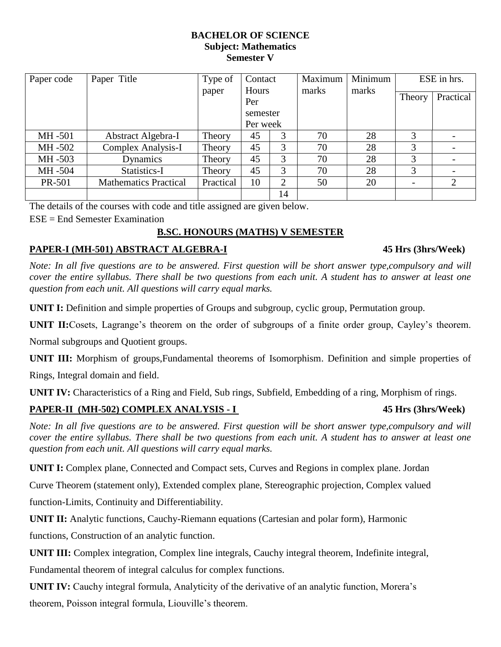### **BACHELOR OF SCIENCE Subject: Mathematics Semester V**

| Paper code | Paper Title                  | Type of   | Contact      |                             | Maximum | Minimum | ESE in hrs. |           |
|------------|------------------------------|-----------|--------------|-----------------------------|---------|---------|-------------|-----------|
|            |                              | paper     | Hours<br>Per |                             | marks   | marks   | Theory      | Practical |
|            |                              |           | semester     |                             |         |         |             |           |
|            |                              |           | Per week     |                             |         |         |             |           |
| MH -501    | Abstract Algebra-I           | Theory    | 45           | 3                           | 70      | 28      | 3           |           |
| MH -502    | <b>Complex Analysis-I</b>    | Theory    | 45           | 3                           | 70      | 28      | 3           |           |
| MH -503    | Dynamics                     | Theory    | 45           | 3                           | 70      | 28      | 3           |           |
| MH -504    | Statistics-I                 | Theory    | 45           | 3                           | 70      | 28      | 3           |           |
| PR-501     | <b>Mathematics Practical</b> | Practical | 10           | $\mathcal{D}_{\mathcal{L}}$ | 50      | 20      |             | 2         |
|            |                              |           |              | 14                          |         |         |             |           |

The details of the courses with code and title assigned are given below.

ESE = End Semester Examination

# **B.SC. HONOURS (MATHS) V SEMESTER**

# **PAPER-I (MH-501) ABSTRACT ALGEBRA-I 45 Hrs (3hrs/Week)**

*Note: In all five questions are to be answered. First question will be short answer type, compulsory and will cover the entire syllabus. There shall be two questions from each unit. A student has to answer at least one question from each unit. All questions will carry equal marks.*

**UNIT I:** Definition and simple properties of Groups and subgroup, cyclic group, Permutation group.

**UNIT II:**Cosets, Lagrange's theorem on the order of subgroups of a finite order group, Cayley's theorem.

Normal subgroups and Quotient groups.

**UNIT III:** Morphism of groups,Fundamental theorems of Isomorphism. Definition and simple properties of

Rings, Integral domain and field.

**UNIT IV:** Characteristics of a Ring and Field, Sub rings, Subfield, Embedding of a ring, Morphism of rings.

# **PAPER-II (MH-502) COMPLEX ANALYSIS - I 45 Hrs (3hrs/Week)**

*Note: In all five questions are to be answered. First question will be short answer type, compulsory and will cover the entire syllabus. There shall be two questions from each unit. A student has to answer at least one question from each unit. All questions will carry equal marks.*

**UNIT I:** Complex plane, Connected and Compact sets, Curves and Regions in complex plane. Jordan

Curve Theorem (statement only), Extended complex plane, Stereographic projection, Complex valued

function-Limits, Continuity and Differentiability.

**UNIT II:** Analytic functions, Cauchy-Riemann equations (Cartesian and polar form), Harmonic

functions, Construction of an analytic function.

**UNIT III:** Complex integration, Complex line integrals, Cauchy integral theorem, Indefinite integral,

Fundamental theorem of integral calculus for complex functions.

**UNIT IV:** Cauchy integral formula, Analyticity of the derivative of an analytic function, Morera's theorem, Poisson integral formula, Liouville's theorem.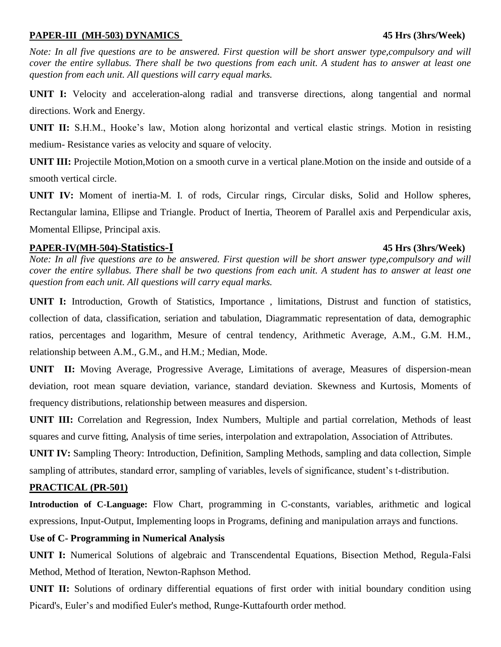### **PAPER-III (MH-503) DYNAMICS 45 Hrs (3hrs/Week)**

*Note: In all five questions are to be answered. First question will be short answer type, compulsory and will cover the entire syllabus. There shall be two questions from each unit. A student has to answer at least one question from each unit. All questions will carry equal marks.*

**UNIT I:** Velocity and acceleration-along radial and transverse directions, along tangential and normal directions. Work and Energy.

**UNIT II:** S.H.M., Hooke's law, Motion along horizontal and vertical elastic strings. Motion in resisting medium- Resistance varies as velocity and square of velocity.

**UNIT III:** Projectile Motion, Motion on a smooth curve in a vertical plane. Motion on the inside and outside of a smooth vertical circle.

**UNIT IV:** Moment of inertia-M. I. of rods, Circular rings, Circular disks, Solid and Hollow spheres, Rectangular lamina, Ellipse and Triangle. Product of Inertia, Theorem of Parallel axis and Perpendicular axis, Momental Ellipse, Principal axis.

# **PAPER-IV(MH-504)-Statistics-I 45 Hrs (3hrs/Week)**

*Note: In all five questions are to be answered. First question will be short answer type, compulsory and will cover the entire syllabus. There shall be two questions from each unit. A student has to answer at least one question from each unit. All questions will carry equal marks.*

**UNIT I:** Introduction, Growth of Statistics, Importance , limitations, Distrust and function of statistics, collection of data, classification, seriation and tabulation, Diagrammatic representation of data, demographic ratios, percentages and logarithm, Mesure of central tendency, Arithmetic Average, A.M., G.M. H.M., relationship between A.M., G.M., and H.M.; Median, Mode.

**UNIT II:** Moving Average, Progressive Average, Limitations of average, Measures of dispersion-mean deviation, root mean square deviation, variance, standard deviation. Skewness and Kurtosis, Moments of frequency distributions, relationship between measures and dispersion.

**UNIT III:** Correlation and Regression, Index Numbers, Multiple and partial correlation, Methods of least squares and curve fitting, Analysis of time series, interpolation and extrapolation, Association of Attributes.

**UNIT IV:** Sampling Theory: Introduction, Definition, Sampling Methods, sampling and data collection, Simple sampling of attributes, standard error, sampling of variables, levels of significance, student's t-distribution.

# **PRACTICAL (PR-501)**

**Introduction of C-Language:** Flow Chart, programming in C-constants, variables, arithmetic and logical expressions, Input-Output, Implementing loops in Programs, defining and manipulation arrays and functions.

### **Use of C- Programming in Numerical Analysis**

**UNIT I:** Numerical Solutions of algebraic and Transcendental Equations, Bisection Method, Regula-Falsi Method, Method of Iteration, Newton-Raphson Method.

**UNIT II:** Solutions of ordinary differential equations of first order with initial boundary condition using Picard's, Euler's and modified Euler's method, Runge-Kuttafourth order method.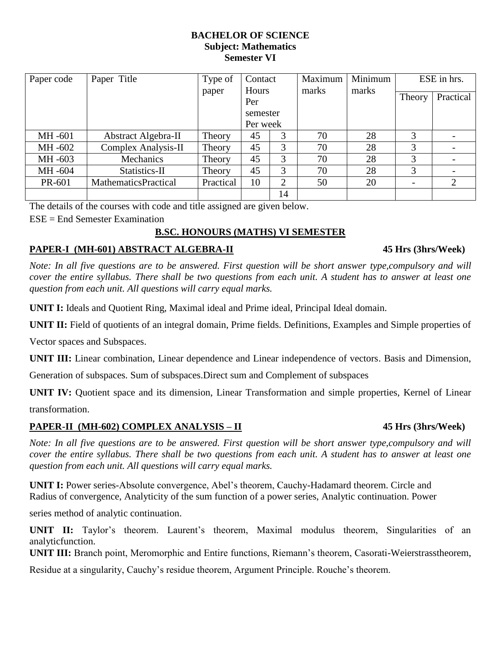### **BACHELOR OF SCIENCE Subject: Mathematics Semester VI**

| Paper code | Paper Title                 | Type of   | Contact<br>Hours<br>Per<br>semester<br>Per week |    | Maximum<br>marks | Minimum<br>marks | ESE in hrs. |           |
|------------|-----------------------------|-----------|-------------------------------------------------|----|------------------|------------------|-------------|-----------|
|            |                             | paper     |                                                 |    |                  |                  | Theory      | Practical |
|            |                             |           |                                                 |    |                  |                  |             |           |
|            |                             |           |                                                 |    |                  |                  |             |           |
| MH -601    | Abstract Algebra-II         | Theory    | 45                                              | 3  | 70               | 28               | 3           |           |
| MH -602    | Complex Analysis-II         | Theory    | 45                                              | 3  | 70               | 28               | 3           |           |
| MH -603    | <b>Mechanics</b>            | Theory    | 45                                              | 3  | 70               | 28               | 3           |           |
| MH-604     | Statistics-II               | Theory    | 45                                              | 3  | 70               | 28               | 3           |           |
| PR-601     | <b>MathematicsPractical</b> | Practical | 10                                              | 2  | 50               | 20               |             | 2         |
|            |                             |           |                                                 | 14 |                  |                  |             |           |

The details of the courses with code and title assigned are given below.

ESE = End Semester Examination

# **B.SC. HONOURS (MATHS) VI SEMESTER**

# **PAPER-I (MH-601) ABSTRACT ALGEBRA-II 45 Hrs (3hrs/Week)**

*Note: In all five questions are to be answered. First question will be short answer type, compulsory and will cover the entire syllabus. There shall be two questions from each unit. A student has to answer at least one question from each unit. All questions will carry equal marks.*

**UNIT I:** Ideals and Quotient Ring, Maximal ideal and Prime ideal, Principal Ideal domain.

**UNIT II:** Field of quotients of an integral domain, Prime fields. Definitions, Examples and Simple properties of

Vector spaces and Subspaces.

**UNIT III:** Linear combination, Linear dependence and Linear independence of vectors. Basis and Dimension,

Generation of subspaces. Sum of subspaces.Direct sum and Complement of subspaces

**UNIT IV:** Quotient space and its dimension, Linear Transformation and simple properties, Kernel of Linear transformation.

### **PAPER-II (MH-602) COMPLEX ANALYSIS – II 45 Hrs (3hrs/Week)**

*Note: In all five questions are to be answered. First question will be short answer type, compulsory and will cover the entire syllabus. There shall be two questions from each unit. A student has to answer at least one question from each unit. All questions will carry equal marks.*

**UNIT I:** Power series-Absolute convergence, Abel's theorem, Cauchy-Hadamard theorem. Circle and Radius of convergence, Analyticity of the sum function of a power series, Analytic continuation. Power

series method of analytic continuation.

**UNIT II:** Taylor's theorem. Laurent's theorem, Maximal modulus theorem, Singularities of an analyticfunction.

**UNIT III:** Branch point, Meromorphic and Entire functions, Riemann's theorem, Casorati-Weierstrasstheorem,

Residue at a singularity, Cauchy's residue theorem, Argument Principle. Rouche's theorem.